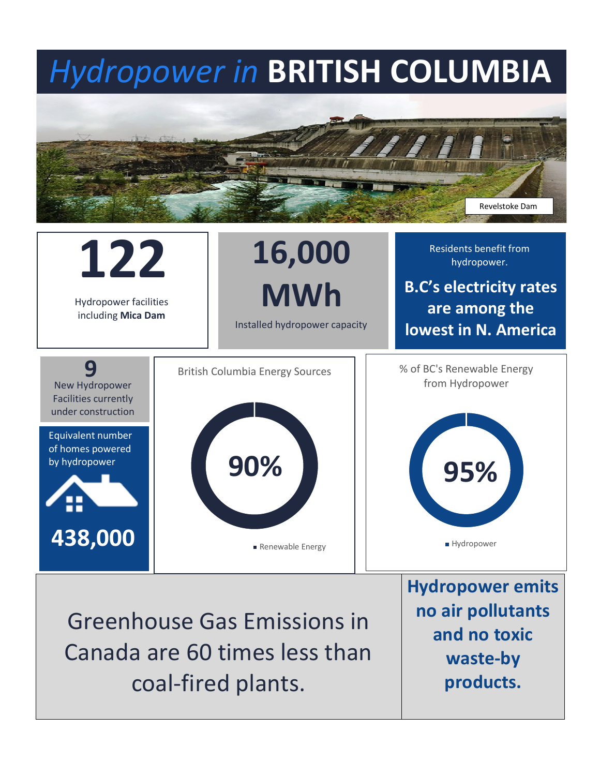## *Hydropower in* **BRITISH COLUMBIA**





coal-fired plants.

**waste-by products.**